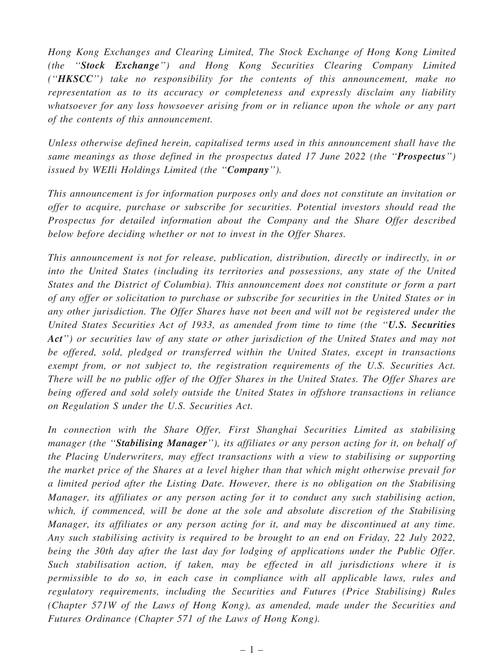Hong Kong Exchanges and Clearing Limited, The Stock Exchange of Hong Kong Limited (the ''Stock Exchange'') and Hong Kong Securities Clearing Company Limited (" $HKSCC"$ ) take no responsibility for the contents of this announcement, make no representation as to its accuracy or completeness and expressly disclaim any liability whatsoever for any loss howsoever arising from or in reliance upon the whole or any part of the contents of this announcement.

Unless otherwise defined herein, capitalised terms used in this announcement shall have the same meanings as those defined in the prospectus dated 17 June 2022 (the "Prospectus") issued by WEIli Holdings Limited (the "Company").

This announcement is for information purposes only and does not constitute an invitation or offer to acquire, purchase or subscribe for securities. Potential investors should read the Prospectus for detailed information about the Company and the Share Offer described below before deciding whether or not to invest in the Offer Shares.

This announcement is not for release, publication, distribution, directly or indirectly, in or into the United States (including its territories and possessions, any state of the United States and the District of Columbia). This announcement does not constitute or form a part of any offer or solicitation to purchase or subscribe for securities in the United States or in any other jurisdiction. The Offer Shares have not been and will not be registered under the United States Securities Act of 1933, as amended from time to time (the "U.S. Securities Act") or securities law of any state or other jurisdiction of the United States and may not be offered, sold, pledged or transferred within the United States, except in transactions exempt from, or not subject to, the registration requirements of the U.S. Securities Act. There will be no public offer of the Offer Shares in the United States. The Offer Shares are being offered and sold solely outside the United States in offshore transactions in reliance on Regulation S under the U.S. Securities Act.

In connection with the Share Offer, First Shanghai Securities Limited as stabilising manager (the "Stabilising Manager"), its affiliates or any person acting for it, on behalf of the Placing Underwriters, may effect transactions with a view to stabilising or supporting the market price of the Shares at a level higher than that which might otherwise prevail for a limited period after the Listing Date. However, there is no obligation on the Stabilising Manager, its affiliates or any person acting for it to conduct any such stabilising action, which, if commenced, will be done at the sole and absolute discretion of the Stabilising Manager, its affiliates or any person acting for it, and may be discontinued at any time. Any such stabilising activity is required to be brought to an end on Friday, 22 July 2022, being the 30th day after the last day for lodging of applications under the Public Offer. Such stabilisation action, if taken, may be effected in all jurisdictions where it is permissible to do so, in each case in compliance with all applicable laws, rules and regulatory requirements, including the Securities and Futures (Price Stabilising) Rules (Chapter 571W of the Laws of Hong Kong), as amended, made under the Securities and Futures Ordinance (Chapter 571 of the Laws of Hong Kong).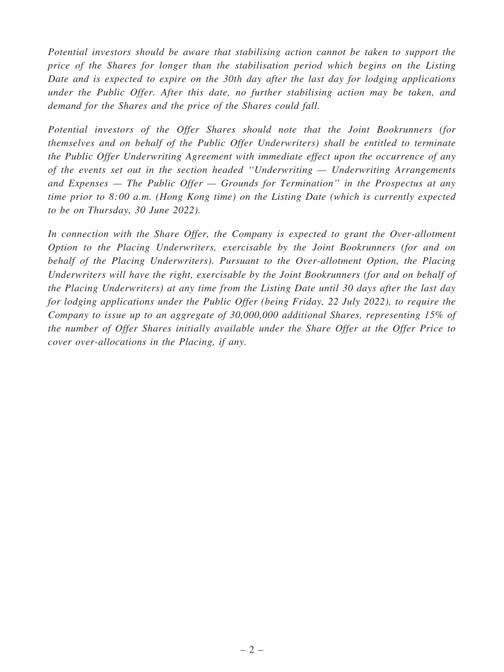Potential investors should be aware that stabilising action cannot be taken to support the price of the Shares for longer than the stabilisation period which begins on the Listing Date and is expected to expire on the 30th day after the last day for lodging applications under the Public Offer. After this date, no further stabilising action may be taken, and demand for the Shares and the price of the Shares could fall.

Potential investors of the Offer Shares should note that the Joint Bookrunners (for themselves and on behalf of the Public Offer Underwriters) shall be entitled to terminate the Public Offer Underwriting Agreement with immediate effect upon the occurrence of any of the events set out in the section headed ''Underwriting — Underwriting Arrangements and Expenses  $-$  The Public Offer  $-$  Grounds for Termination" in the Prospectus at any time prior to 8:00 a.m. (Hong Kong time) on the Listing Date (which is currently expected to be on Thursday, 30 June 2022).

In connection with the Share Offer, the Company is expected to grant the Over-allotment Option to the Placing Underwriters, exercisable by the Joint Bookrunners (for and on behalf of the Placing Underwriters). Pursuant to the Over-allotment Option, the Placing Underwriters will have the right, exercisable by the Joint Bookrunners (for and on behalf of the Placing Underwriters) at any time from the Listing Date until 30 days after the last day for lodging applications under the Public Offer (being Friday, 22 July 2022), to require the Company to issue up to an aggregate of 30,000,000 additional Shares, representing 15% of the number of Offer Shares initially available under the Share Offer at the Offer Price to cover over-allocations in the Placing, if any.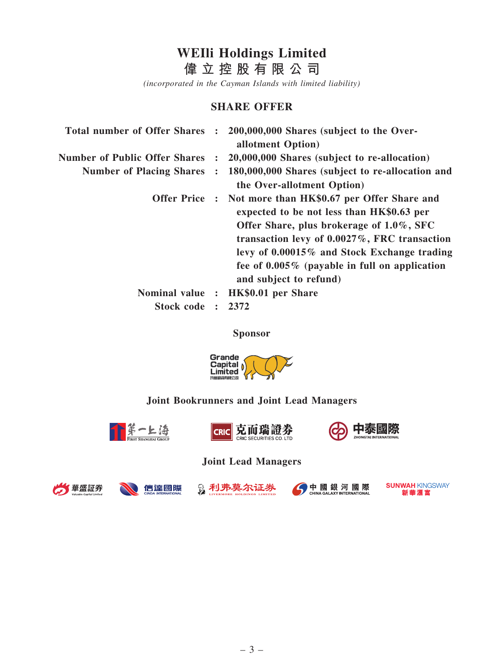# WEIli Holdings Limited

偉 立 控 股 有 限 公 司

(incorporated in the Cayman Islands with limited liability)

#### SHARE OFFER

| <b>Total number of Offer Shares</b>  | $\ddot{\cdot}$ | 200,000,000 Shares (subject to the Over-<br>allotment Option)                                                                                                                                                                                                                                                                      |
|--------------------------------------|----------------|------------------------------------------------------------------------------------------------------------------------------------------------------------------------------------------------------------------------------------------------------------------------------------------------------------------------------------|
| <b>Number of Public Offer Shares</b> | $\ddot{\cdot}$ | 20,000,000 Shares (subject to re-allocation)                                                                                                                                                                                                                                                                                       |
| <b>Number of Placing Shares</b>      | $\ddot{\cdot}$ | 180,000,000 Shares (subject to re-allocation and<br>the Over-allotment Option)                                                                                                                                                                                                                                                     |
|                                      |                | Offer Price : Not more than HK\$0.67 per Offer Share and<br>expected to be not less than HK\$0.63 per<br>Offer Share, plus brokerage of 1.0%, SFC<br>transaction levy of $0.0027\%$ , FRC transaction<br>levy of 0.00015% and Stock Exchange trading<br>fee of $0.005\%$ (payable in full on application<br>and subject to refund) |
| Nominal value :                      |                | HK\$0.01 per Share                                                                                                                                                                                                                                                                                                                 |
| Stock code                           | $\mathbf{r}$   | 2372                                                                                                                                                                                                                                                                                                                               |

Sponsor



# Joint Bookrunners and Joint Lead Managers



Joint Lead Managers



信達國際





**SUNWAH KINGSWAY** 新華滙富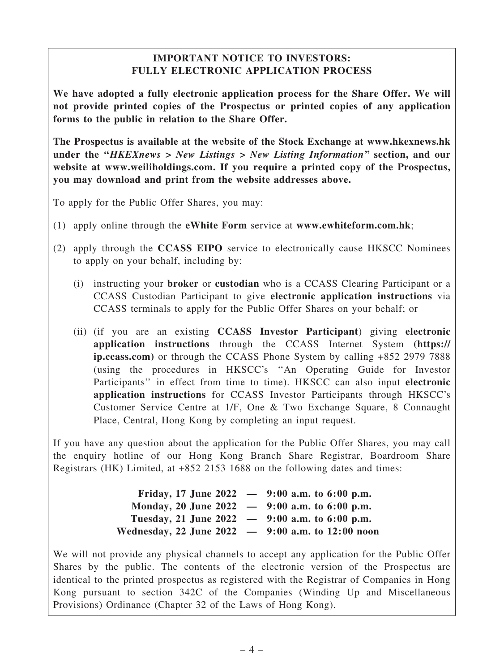# IMPORTANT NOTICE TO INVESTORS: FULLY ELECTRONIC APPLICATION PROCESS

We have adopted a fully electronic application process for the Share Offer. We will not provide printed copies of the Prospectus or printed copies of any application forms to the public in relation to the Share Offer.

The Prospectus is available at the website of the Stock Exchange at www.hkexnews.hk under the "HKEXnews > New Listings > New Listing Information" section, and our website at www.weiliholdings.com. If you require a printed copy of the Prospectus, you may download and print from the website addresses above.

To apply for the Public Offer Shares, you may:

- (1) apply online through the eWhite Form service at www.ewhiteform.com.hk;
- (2) apply through the CCASS EIPO service to electronically cause HKSCC Nominees to apply on your behalf, including by:
	- (i) instructing your broker or custodian who is a CCASS Clearing Participant or a CCASS Custodian Participant to give electronic application instructions via CCASS terminals to apply for the Public Offer Shares on your behalf; or
	- (ii) (if you are an existing CCASS Investor Participant) giving electronic application instructions through the CCASS Internet System (https:// ip.ccass.com) or through the CCASS Phone System by calling +852 2979 7888 (using the procedures in HKSCC's ''An Operating Guide for Investor Participants" in effect from time to time). HKSCC can also input electronic application instructions for CCASS Investor Participants through HKSCC's Customer Service Centre at 1/F, One & Two Exchange Square, 8 Connaught Place, Central, Hong Kong by completing an input request.

If you have any question about the application for the Public Offer Shares, you may call the enquiry hotline of our Hong Kong Branch Share Registrar, Boardroom Share Registrars (HK) Limited, at +852 2153 1688 on the following dates and times:

|                                                     | Friday, 17 June 2022 $-$ 9:00 a.m. to 6:00 p.m. |
|-----------------------------------------------------|-------------------------------------------------|
| Monday, 20 June 2022 $-$ 9:00 a.m. to 6:00 p.m.     |                                                 |
| Tuesday, 21 June 2022 $-$ 9:00 a.m. to 6:00 p.m.    |                                                 |
| Wednesday, 22 June 2022 $-$ 9:00 a.m. to 12:00 noon |                                                 |

We will not provide any physical channels to accept any application for the Public Offer Shares by the public. The contents of the electronic version of the Prospectus are identical to the printed prospectus as registered with the Registrar of Companies in Hong Kong pursuant to section 342C of the Companies (Winding Up and Miscellaneous Provisions) Ordinance (Chapter 32 of the Laws of Hong Kong).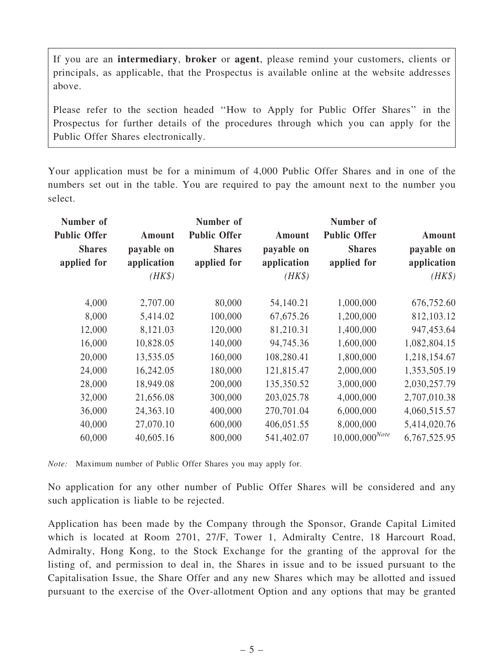If you are an intermediary, broker or agent, please remind your customers, clients or principals, as applicable, that the Prospectus is available online at the website addresses above.

Please refer to the section headed ''How to Apply for Public Offer Shares'' in the Prospectus for further details of the procedures through which you can apply for the Public Offer Shares electronically.

Your application must be for a minimum of 4,000 Public Offer Shares and in one of the numbers set out in the table. You are required to pay the amount next to the number you select.

| Number of<br><b>Public Offer</b><br><b>Shares</b><br>applied for | Amount<br>payable on<br>application<br>$(HK\$ | Number of<br><b>Public Offer</b><br><b>Shares</b><br>applied for | Amount<br>payable on<br>application<br>$(HK\$ | Number of<br><b>Public Offer</b><br><b>Shares</b><br>applied for | Amount<br>payable on<br>application<br>$(HK\$ |
|------------------------------------------------------------------|-----------------------------------------------|------------------------------------------------------------------|-----------------------------------------------|------------------------------------------------------------------|-----------------------------------------------|
| 4,000                                                            | 2,707.00                                      | 80,000                                                           | 54,140.21                                     | 1,000,000                                                        | 676,752.60                                    |
| 8,000                                                            | 5,414.02                                      | 100,000                                                          | 67, 675.26                                    | 1,200,000                                                        | 812,103.12                                    |
| 12,000                                                           | 8,121.03                                      | 120,000                                                          | 81,210.31                                     | 1,400,000                                                        | 947, 453.64                                   |
| 16,000                                                           | 10,828.05                                     | 140,000                                                          | 94,745.36                                     | 1,600,000                                                        | 1,082,804.15                                  |
| 20,000                                                           | 13,535.05                                     | 160,000                                                          | 108,280.41                                    | 1,800,000                                                        | 1,218,154.67                                  |
| 24,000                                                           | 16,242.05                                     | 180,000                                                          | 121,815.47                                    | 2,000,000                                                        | 1,353,505.19                                  |
| 28,000                                                           | 18,949.08                                     | 200,000                                                          | 135,350.52                                    | 3,000,000                                                        | 2,030,257.79                                  |
| 32,000                                                           | 21,656.08                                     | 300,000                                                          | 203,025.78                                    | 4,000,000                                                        | 2,707,010.38                                  |
| 36,000                                                           | 24,363.10                                     | 400,000                                                          | 270,701.04                                    | 6,000,000                                                        | 4,060,515.57                                  |
| 40,000                                                           | 27,070.10                                     | 600,000                                                          | 406,051.55                                    | 8,000,000                                                        | 5,414,020.76                                  |
| 60,000                                                           | 40,605.16                                     | 800,000                                                          | 541,402.07                                    | $10,000,000^{Note}$                                              | 6,767,525.95                                  |

Note: Maximum number of Public Offer Shares you may apply for.

No application for any other number of Public Offer Shares will be considered and any such application is liable to be rejected.

Application has been made by the Company through the Sponsor, Grande Capital Limited which is located at Room 2701, 27/F, Tower 1, Admiralty Centre, 18 Harcourt Road, Admiralty, Hong Kong, to the Stock Exchange for the granting of the approval for the listing of, and permission to deal in, the Shares in issue and to be issued pursuant to the Capitalisation Issue, the Share Offer and any new Shares which may be allotted and issued pursuant to the exercise of the Over-allotment Option and any options that may be granted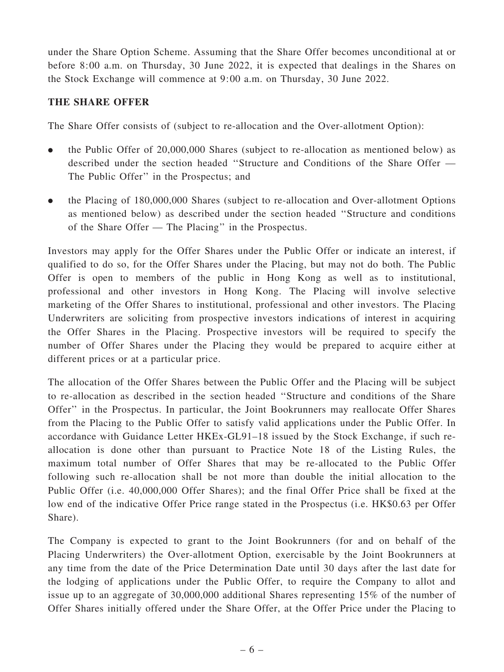under the Share Option Scheme. Assuming that the Share Offer becomes unconditional at or before 8:00 a.m. on Thursday, 30 June 2022, it is expected that dealings in the Shares on the Stock Exchange will commence at 9:00 a.m. on Thursday, 30 June 2022.

# THE SHARE OFFER

The Share Offer consists of (subject to re-allocation and the Over-allotment Option):

- . the Public Offer of 20,000,000 Shares (subject to re-allocation as mentioned below) as described under the section headed ''Structure and Conditions of the Share Offer — The Public Offer'' in the Prospectus; and
- . the Placing of 180,000,000 Shares (subject to re-allocation and Over-allotment Options as mentioned below) as described under the section headed ''Structure and conditions of the Share Offer — The Placing'' in the Prospectus.

Investors may apply for the Offer Shares under the Public Offer or indicate an interest, if qualified to do so, for the Offer Shares under the Placing, but may not do both. The Public Offer is open to members of the public in Hong Kong as well as to institutional, professional and other investors in Hong Kong. The Placing will involve selective marketing of the Offer Shares to institutional, professional and other investors. The Placing Underwriters are soliciting from prospective investors indications of interest in acquiring the Offer Shares in the Placing. Prospective investors will be required to specify the number of Offer Shares under the Placing they would be prepared to acquire either at different prices or at a particular price.

The allocation of the Offer Shares between the Public Offer and the Placing will be subject to re-allocation as described in the section headed ''Structure and conditions of the Share Offer'' in the Prospectus. In particular, the Joint Bookrunners may reallocate Offer Shares from the Placing to the Public Offer to satisfy valid applications under the Public Offer. In accordance with Guidance Letter HKEx-GL91–18 issued by the Stock Exchange, if such reallocation is done other than pursuant to Practice Note 18 of the Listing Rules, the maximum total number of Offer Shares that may be re-allocated to the Public Offer following such re-allocation shall be not more than double the initial allocation to the Public Offer (i.e. 40,000,000 Offer Shares); and the final Offer Price shall be fixed at the low end of the indicative Offer Price range stated in the Prospectus (i.e. HK\$0.63 per Offer Share).

The Company is expected to grant to the Joint Bookrunners (for and on behalf of the Placing Underwriters) the Over-allotment Option, exercisable by the Joint Bookrunners at any time from the date of the Price Determination Date until 30 days after the last date for the lodging of applications under the Public Offer, to require the Company to allot and issue up to an aggregate of 30,000,000 additional Shares representing 15% of the number of Offer Shares initially offered under the Share Offer, at the Offer Price under the Placing to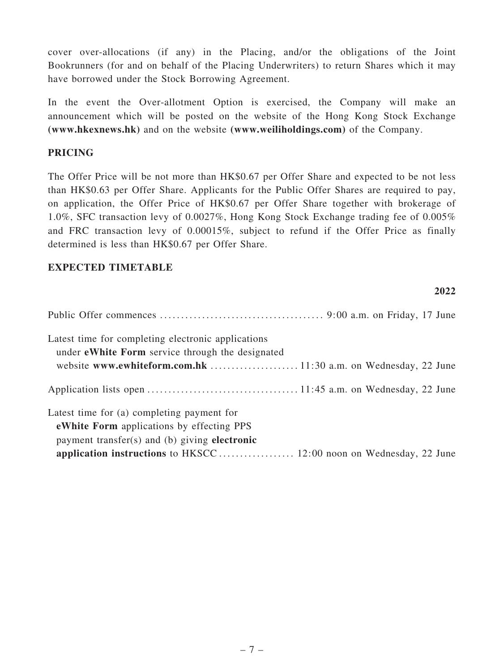cover over-allocations (if any) in the Placing, and/or the obligations of the Joint Bookrunners (for and on behalf of the Placing Underwriters) to return Shares which it may have borrowed under the Stock Borrowing Agreement.

In the event the Over-allotment Option is exercised, the Company will make an announcement which will be posted on the website of the Hong Kong Stock Exchange (www.hkexnews.hk) and on the website (www.weiliholdings.com) of the Company.

#### PRICING

The Offer Price will be not more than HK\$0.67 per Offer Share and expected to be not less than HK\$0.63 per Offer Share. Applicants for the Public Offer Shares are required to pay, on application, the Offer Price of HK\$0.67 per Offer Share together with brokerage of 1.0%, SFC transaction levy of 0.0027%, Hong Kong Stock Exchange trading fee of 0.005% and FRC transaction levy of 0.00015%, subject to refund if the Offer Price as finally determined is less than HK\$0.67 per Offer Share.

 $2022$ 

#### EXPECTED TIMETABLE

| $\sqrt{124}$                                                                                                  |
|---------------------------------------------------------------------------------------------------------------|
|                                                                                                               |
| Latest time for completing electronic applications<br>under <b>eWhite Form</b> service through the designated |
|                                                                                                               |
|                                                                                                               |
|                                                                                                               |
| Latest time for (a) completing payment for                                                                    |
| <b>eWhite Form</b> applications by effecting PPS                                                              |
| payment transfer(s) and (b) giving electronic                                                                 |
|                                                                                                               |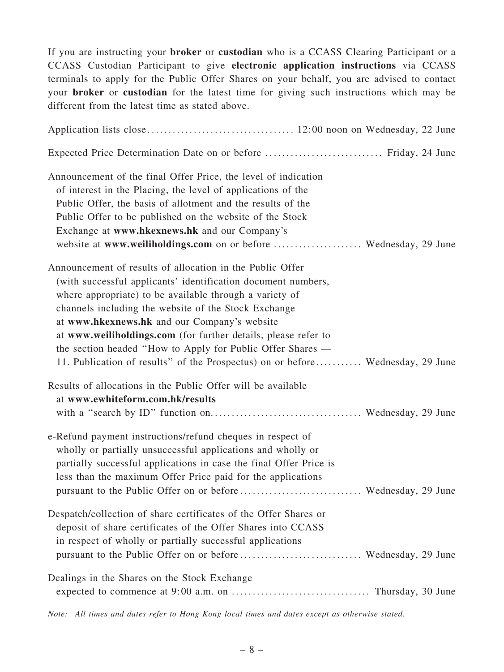If you are instructing your broker or custodian who is a CCASS Clearing Participant or a CCASS Custodian Participant to give electronic application instructions via CCASS terminals to apply for the Public Offer Shares on your behalf, you are advised to contact your broker or custodian for the latest time for giving such instructions which may be different from the latest time as stated above.

| Expected Price Determination Date on or before  Friday, 24 June                                                                                                                                                                                                                                                                                                                                                                                                                                                 |  |
|-----------------------------------------------------------------------------------------------------------------------------------------------------------------------------------------------------------------------------------------------------------------------------------------------------------------------------------------------------------------------------------------------------------------------------------------------------------------------------------------------------------------|--|
| Announcement of the final Offer Price, the level of indication<br>of interest in the Placing, the level of applications of the<br>Public Offer, the basis of allotment and the results of the<br>Public Offer to be published on the website of the Stock<br>Exchange at www.hkexnews.hk and our Company's<br>website at www.weiliholdings.com on or before  Wednesday, 29 June                                                                                                                                 |  |
| Announcement of results of allocation in the Public Offer<br>(with successful applicants' identification document numbers,<br>where appropriate) to be available through a variety of<br>channels including the website of the Stock Exchange<br>at www.hkexnews.hk and our Company's website<br>at www.weiliholdings.com (for further details, please refer to<br>the section headed "How to Apply for Public Offer Shares —<br>11. Publication of results" of the Prospectus) on or before Wednesday, 29 June |  |
| Results of allocations in the Public Offer will be available                                                                                                                                                                                                                                                                                                                                                                                                                                                    |  |
| at www.ewhiteform.com.hk/results                                                                                                                                                                                                                                                                                                                                                                                                                                                                                |  |
| e-Refund payment instructions/refund cheques in respect of<br>wholly or partially unsuccessful applications and wholly or<br>partially successful applications in case the final Offer Price is<br>less than the maximum Offer Price paid for the applications                                                                                                                                                                                                                                                  |  |
| Despatch/collection of share certificates of the Offer Shares or<br>deposit of share certificates of the Offer Shares into CCASS<br>in respect of wholly or partially successful applications                                                                                                                                                                                                                                                                                                                   |  |
| Dealings in the Shares on the Stock Exchange                                                                                                                                                                                                                                                                                                                                                                                                                                                                    |  |

Note: All times and dates refer to Hong Kong local times and dates except as otherwise stated.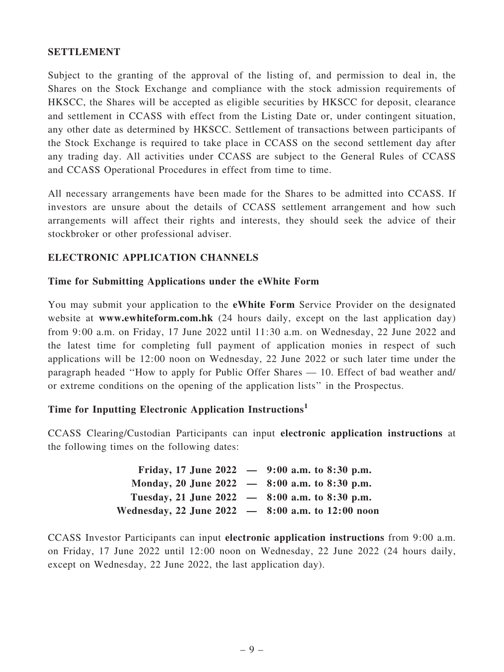#### SETTLEMENT

Subject to the granting of the approval of the listing of, and permission to deal in, the Shares on the Stock Exchange and compliance with the stock admission requirements of HKSCC, the Shares will be accepted as eligible securities by HKSCC for deposit, clearance and settlement in CCASS with effect from the Listing Date or, under contingent situation, any other date as determined by HKSCC. Settlement of transactions between participants of the Stock Exchange is required to take place in CCASS on the second settlement day after any trading day. All activities under CCASS are subject to the General Rules of CCASS and CCASS Operational Procedures in effect from time to time.

All necessary arrangements have been made for the Shares to be admitted into CCASS. If investors are unsure about the details of CCASS settlement arrangement and how such arrangements will affect their rights and interests, they should seek the advice of their stockbroker or other professional adviser.

# ELECTRONIC APPLICATION CHANNELS

#### Time for Submitting Applications under the eWhite Form

You may submit your application to the eWhite Form Service Provider on the designated website at www.ewhiteform.com.hk (24 hours daily, except on the last application day) from 9:00 a.m. on Friday, 17 June 2022 until 11:30 a.m. on Wednesday, 22 June 2022 and the latest time for completing full payment of application monies in respect of such applications will be 12:00 noon on Wednesday, 22 June 2022 or such later time under the paragraph headed ''How to apply for Public Offer Shares — 10. Effect of bad weather and/ or extreme conditions on the opening of the application lists'' in the Prospectus.

# Time for Inputting Electronic Application Instructions<sup>1</sup>

CCASS Clearing/Custodian Participants can input electronic application instructions at the following times on the following dates:

|                                                     | Friday, 17 June 2022 $-$ 9:00 a.m. to 8:30 p.m. |
|-----------------------------------------------------|-------------------------------------------------|
| Monday, 20 June 2022 $-$ 8:00 a.m. to 8:30 p.m.     |                                                 |
| Tuesday, 21 June 2022 $-$ 8:00 a.m. to 8:30 p.m.    |                                                 |
| Wednesday, 22 June $2022 - 8:00$ a.m. to 12:00 noon |                                                 |

CCASS Investor Participants can input electronic application instructions from 9:00 a.m. on Friday, 17 June 2022 until 12:00 noon on Wednesday, 22 June 2022 (24 hours daily, except on Wednesday, 22 June 2022, the last application day).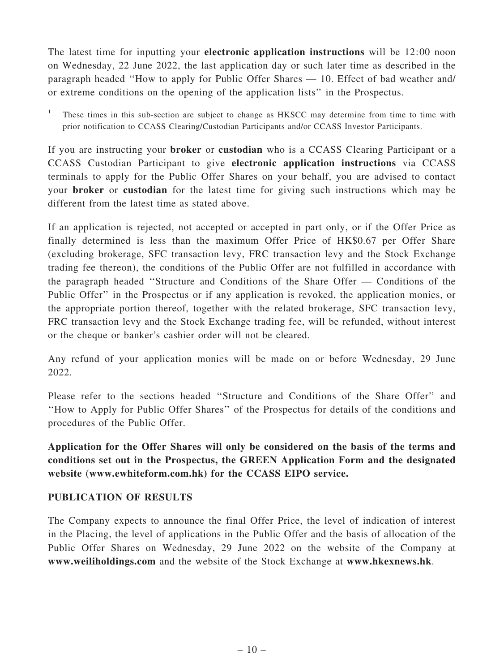The latest time for inputting your electronic application instructions will be 12:00 noon on Wednesday, 22 June 2022, the last application day or such later time as described in the paragraph headed ''How to apply for Public Offer Shares — 10. Effect of bad weather and/ or extreme conditions on the opening of the application lists'' in the Prospectus.

<sup>1</sup> These times in this sub-section are subject to change as HKSCC may determine from time to time with prior notification to CCASS Clearing/Custodian Participants and/or CCASS Investor Participants.

If you are instructing your broker or custodian who is a CCASS Clearing Participant or a CCASS Custodian Participant to give electronic application instructions via CCASS terminals to apply for the Public Offer Shares on your behalf, you are advised to contact your broker or custodian for the latest time for giving such instructions which may be different from the latest time as stated above.

If an application is rejected, not accepted or accepted in part only, or if the Offer Price as finally determined is less than the maximum Offer Price of HK\$0.67 per Offer Share (excluding brokerage, SFC transaction levy, FRC transaction levy and the Stock Exchange trading fee thereon), the conditions of the Public Offer are not fulfilled in accordance with the paragraph headed ''Structure and Conditions of the Share Offer — Conditions of the Public Offer'' in the Prospectus or if any application is revoked, the application monies, or the appropriate portion thereof, together with the related brokerage, SFC transaction levy, FRC transaction levy and the Stock Exchange trading fee, will be refunded, without interest or the cheque or banker's cashier order will not be cleared.

Any refund of your application monies will be made on or before Wednesday, 29 June 2022.

Please refer to the sections headed ''Structure and Conditions of the Share Offer'' and ''How to Apply for Public Offer Shares'' of the Prospectus for details of the conditions and procedures of the Public Offer.

Application for the Offer Shares will only be considered on the basis of the terms and conditions set out in the Prospectus, the GREEN Application Form and the designated website (www.ewhiteform.com.hk) for the CCASS EIPO service.

# PUBLICATION OF RESULTS

The Company expects to announce the final Offer Price, the level of indication of interest in the Placing, the level of applications in the Public Offer and the basis of allocation of the Public Offer Shares on Wednesday, 29 June 2022 on the website of the Company at www.weiliholdings.com and the website of the Stock Exchange at www.hkexnews.hk.